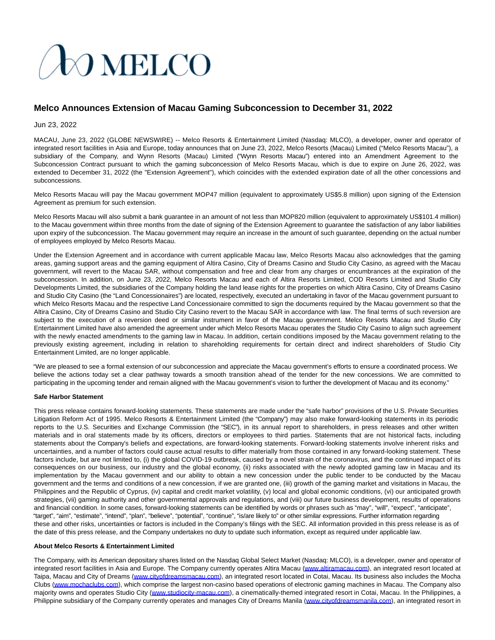# **JO MELCO**

# **Melco Announces Extension of Macau Gaming Subconcession to December 31, 2022**

## Jun 23, 2022

MACAU, June 23, 2022 (GLOBE NEWSWIRE) -- Melco Resorts & Entertainment Limited (Nasdaq: MLCO), a developer, owner and operator of integrated resort facilities in Asia and Europe, today announces that on June 23, 2022, Melco Resorts (Macau) Limited ("Melco Resorts Macau"), a subsidiary of the Company, and Wynn Resorts (Macau) Limited ("Wynn Resorts Macau") entered into an Amendment Agreement to the Subconcession Contract pursuant to which the gaming subconcession of Melco Resorts Macau, which is due to expire on June 26, 2022, was extended to December 31, 2022 (the "Extension Agreement"), which coincides with the extended expiration date of all the other concessions and subconcessions.

Melco Resorts Macau will pay the Macau government MOP47 million (equivalent to approximately US\$5.8 million) upon signing of the Extension Agreement as premium for such extension.

Melco Resorts Macau will also submit a bank guarantee in an amount of not less than MOP820 million (equivalent to approximately US\$101.4 million) to the Macau government within three months from the date of signing of the Extension Agreement to guarantee the satisfaction of any labor liabilities upon expiry of the subconcession. The Macau government may require an increase in the amount of such guarantee, depending on the actual number of employees employed by Melco Resorts Macau.

Under the Extension Agreement and in accordance with current applicable Macau law, Melco Resorts Macau also acknowledges that the gaming areas, gaming support areas and the gaming equipment of Altira Casino, City of Dreams Casino and Studio City Casino, as agreed with the Macau government, will revert to the Macau SAR, without compensation and free and clear from any charges or encumbrances at the expiration of the subconcession. In addition, on June 23, 2022, Melco Resorts Macau and each of Altira Resorts Limited, COD Resorts Limited and Studio City Developments Limited, the subsidiaries of the Company holding the land lease rights for the properties on which Altira Casino, City of Dreams Casino and Studio City Casino (the "Land Concessionaires") are located, respectively, executed an undertaking in favor of the Macau government pursuant to which Melco Resorts Macau and the respective Land Concessionaire committed to sign the documents required by the Macau government so that the Altira Casino, City of Dreams Casino and Studio City Casino revert to the Macau SAR in accordance with law. The final terms of such reversion are subject to the execution of a reversion deed or similar instrument in favor of the Macau government. Melco Resorts Macau and Studio City Entertainment Limited have also amended the agreement under which Melco Resorts Macau operates the Studio City Casino to align such agreement with the newly enacted amendments to the gaming law in Macau. In addition, certain conditions imposed by the Macau government relating to the previously existing agreement, including in relation to shareholding requirements for certain direct and indirect shareholders of Studio City Entertainment Limited, are no longer applicable.

"We are pleased to see a formal extension of our subconcession and appreciate the Macau government's efforts to ensure a coordinated process. We believe the actions today set a clear pathway towards a smooth transition ahead of the tender for the new concessions. We are committed to participating in the upcoming tender and remain aligned with the Macau government's vision to further the development of Macau and its economy."

#### **Safe Harbor Statement**

This press release contains forward-looking statements. These statements are made under the "safe harbor" provisions of the U.S. Private Securities Litigation Reform Act of 1995. Melco Resorts & Entertainment Limited (the "Company") may also make forward-looking statements in its periodic reports to the U.S. Securities and Exchange Commission (the "SEC"), in its annual report to shareholders, in press releases and other written materials and in oral statements made by its officers, directors or employees to third parties. Statements that are not historical facts, including statements about the Company's beliefs and expectations, are forward-looking statements. Forward-looking statements involve inherent risks and uncertainties, and a number of factors could cause actual results to differ materially from those contained in any forward-looking statement. These factors include, but are not limited to, (i) the global COVID-19 outbreak, caused by a novel strain of the coronavirus, and the continued impact of its consequences on our business, our industry and the global economy, (ii) risks associated with the newly adopted gaming law in Macau and its implementation by the Macau government and our ability to obtain a new concession under the public tender to be conducted by the Macau government and the terms and conditions of a new concession, if we are granted one, (iii) growth of the gaming market and visitations in Macau, the Philippines and the Republic of Cyprus, (iv) capital and credit market volatility, (v) local and global economic conditions, (vi) our anticipated growth strategies, (vii) gaming authority and other governmental approvals and regulations, and (viii) our future business development, results of operations and financial condition. In some cases, forward-looking statements can be identified by words or phrases such as "may", "will", "expect", "anticipate", "target", "aim", "estimate", "intend", "plan", "believe", "potential", "continue", "is/are likely to" or other similar expressions. Further information regarding these and other risks, uncertainties or factors is included in the Company's filings with the SEC. All information provided in this press release is as of the date of this press release, and the Company undertakes no duty to update such information, except as required under applicable law.

### **About Melco Resorts & Entertainment Limited**

The Company, with its American depositary shares listed on the Nasdaq Global Select Market (Nasdaq: MLCO), is a developer, owner and operator of integrated resort facilities in Asia and Europe. The Company currently operates Altira Macau [\(www.altiramacau.com\),](https://www.globenewswire.com/Tracker?data=gbLzTxOR_Dg_wIEkzOau-Vr3rTXl1IHpYKgynA2tXclGAguOujzSMuGYje56OURjHryjdm17ONX-AlxleRXAzPDxgVlDinBdqX8M8ZV6APA=) an integrated resort located at Taipa, Macau and City of Dreams [\(www.cityofdreamsmacau.com\),](https://www.globenewswire.com/Tracker?data=_UghLww5y-NfOmjgWzbqhpSgSuWUMlDBfOv13a11yJ93-bk8Tx0RW1oyS8qEqWXnZwlEHYyc8YzUHLOiSn9COGJV4dPM0Vg_oZMSYK1P_xw=) an integrated resort located in Cotai, Macau. Its business also includes the Mocha Clubs [\(www.mochaclubs.com\)](https://www.globenewswire.com/Tracker?data=VtRFXHFqVsjiKhqiBiLRtOoyXuWeM22JFWSeQKmHD1xtLCqVQEO4hrDjVYfHeOQFziqQmSRloS2sYSlWyPSZi1uCyl5VUbXCkWzd6UXJkzA=), which comprise the largest non-casino based operations of electronic gaming machines in Macau. The Company also majority owns and operates Studio City [\(www.studiocity-macau.com\),](https://www.globenewswire.com/Tracker?data=N9xIaGHhD2soO0oAnypdvwBd8lKLZRizj5g7GpiZat3uekD0T-rIWV0MNKxwHezhYuP0qdYWzOm0JVZBeasR1gFy5Ipbbdmrh-EmKgjb_58=) a cinematically-themed integrated resort in Cotai, Macau. In the Philippines, a Philippine subsidiary of the Company currently operates and manages City of Dreams Manila [\(www.cityofdreamsmanila.com\),](https://www.globenewswire.com/Tracker?data=_UghLww5y-NfOmjgWzbqhnmGQNYAs2bDqsXxH_sFP4JHa_v4ycYXwoaB3L52gX036ENJKfu5Mw2fTPILS7lNn7jI88WG602iM3ve9TEjZUWDMDTj1Edv4B_ZQ7dpWtMW) an integrated resort in